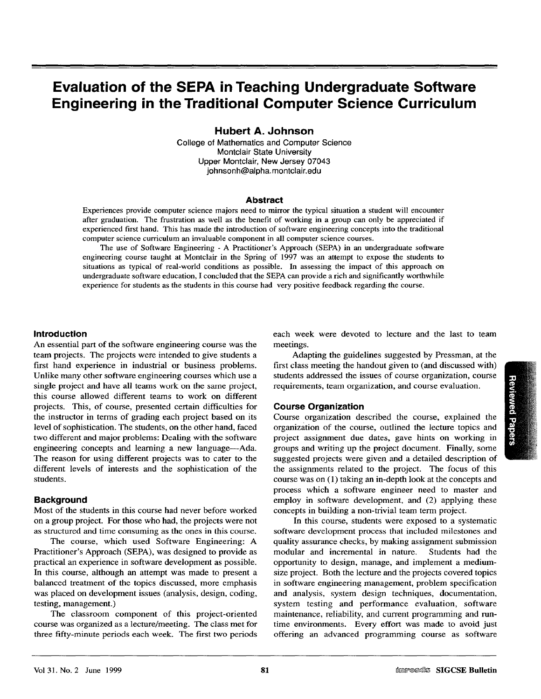# **Evaluation of the SEPA in Teaching Undergraduate Software Hubert A. Johnson**

**Evaluation of the SEPA in Teaching Undergraduate Software** 

College of Mathematics and Computer Science Hubert A. Jonns

College of Mathematics and Computer Science Montclair State University Upper Montclair, New Jersey 07043 johnsonh@alpha.montclair.edu

#### Abstract

Experiences provide computer science majors need to mirror the typical situation a student will encounter after graduation. The frustration as well as the benefit of working in a group can only be appreciated if experienced first hand. This has made the introduction of software engineering concepts into the traditional computer science curriculum an invaluable component in all computer science courses.

The use of Software Engineering - A Practitioner's Approach (SEPA) in an undergraduate software engineering course taught at Montclair in the Spring of 1997 was an attempt to expose the students to situations as typical of real-world conditions as possible. In assessing the impact of this approach on undergraduate software education, I concluded that the SEPA can provide a rich and significantly worthwhile experience for students as the students in this course had very positive feedback regarding the course.

#### **Introduction**

An essential part of the software engineering course was the team projects. The projects were intended to give students a first hand experience in industrial or business problems. Unlike many other software engineering courses which use a single project and have all teams work on the same project, this course allowed different teams to work on different projects. This, of course, presented certain difficulties for the instructor in terms of grading each project based on its level of sophistication. The students, on the other hand, faced two different and major problems: Dealing with the software engineering concepts and learning a new language—Ada. The reason for using different projects was to cater to the different levels of interests and the sophistication of the students.

#### **Background**

Most of the students in this course had never before worked. on a group project. For those who had, the projects were not as structured and time consuming as the ones in this course.

The course, which used Software Engineering: A Practitioner's Approach (SEPA), was designed to provide as practical an experience in software development as possible. In this course, although an attempt was made to present a balanced treatment of the topics discussed, more emphasis was placed on development issues (analysis, design, coding, testing, management.)

The classroom component of this project-oriented course was organized as a lecture/meeting. The class met for three fifty-minute periods each week. The first two periods each week were devoted to lecture and the last to team meetings.

Adapting the guidelines suggested by Pressman, at the first class meeting the handout given to (and discussed with) students addressed the issues of course organization, course requirements, team organization, and course evaluation.

#### **Course Organization**

Course organization described the course, explained the organization of the course, outlined the lecture topics and project assignment due dates, gave hints on working in groups and writing up the project document. Finally, some suggested projects were given and a detailed description of the assignments related to the project. The focus of this course was on (1) taking an in-depth look at the concepts and process which a software engineer need to master and employ in software development, and (2) applying these concepts in building a non-trivial team term project.

In this course, students were exposed to a systematic software development process that included milestones and quality assurance checks, by making assignment submission modular and incremental in nature. Students had the opportunity to design, manage, and implement a mediumsize project. Both the lecture and the projects covered topics in software engineering management, problem specification and analysis, system design techniques, documentation, system testing and performance evaluation, software maintenance, reliability, and current programming and runtime environments. Every effort was made to avoid just offering an advanced programming course as software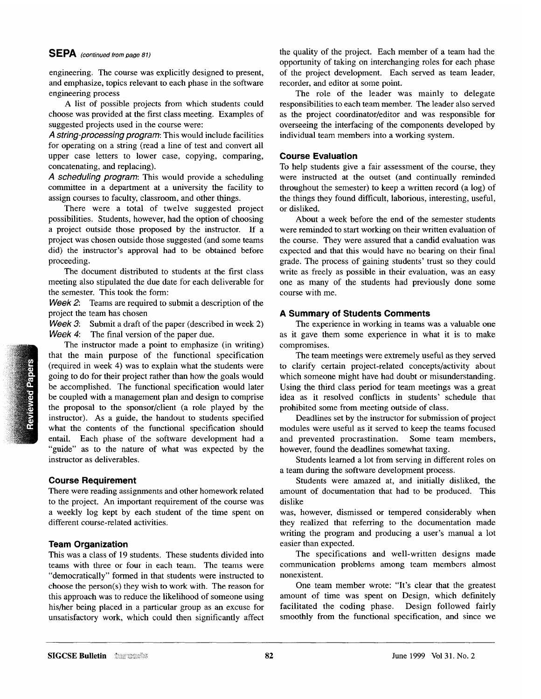# SEPA *(continued from page 81)*

engineering. The course was explicitly designed to present, and emphasize, topics relevant to each phase in the software engineering process

A list of possible projects from which students could choose was provided at the first class meeting. Examples of suggested projects used in the course **were:** 

*A string-processing program:* This would include facilities for operating on a string (read a line of test and convert all upper case letters to lower case, copying, comparing, concatenating, and replacing).

*A scheduling program:* This would provide a scheduling committee in a department at a university the facility to assign courses to faculty, classroom, and other things.

There were a total of twelve suggested project possibilities. Students, however, had the option of choosing a project outside those proposed by the instructor. If a project was chosen outside those suggested (and some teams did) the instructor's approval had to be obtained before proceeding.

The document distributed to students at the first class meeting also stipulated the due date for each deliverable for the semester. This took the form:

*Week 2:* Teams are required to submit a description of the project the team has chosen

*Week 3*: Submit a draft of the paper (described in week 2) *Week 4:* The final version of the paper due.

The instructor made a point to emphasize (in writing) that the main purpose of the functional specification (required in week 4) was to explain what the students were going to do for their project rather than how the goals would be accomplished. The functional specification would later be coupled with a management plan and design to comprise the proposal to the sponsor/client (a role played by the instructor). As a guide, the handout to students specified what the contents of the functional specification should entail. Each phase of the software development had a "guide" as to the nature of what was expected by the instructor as deliverables.

# **Course Requirement**

everal ague

There were reading assignments and other homework related to the project. An important requirement of the course was a weekly log kept by each student of the time spent on different course-related activities.

# **Team Organization**

This was a class of 19 students. These students divided into teams with three or four in each team. The teams were "democratically" formed in that students were instructed to choose the person(s) they wish to work with. The reason for this approach was to reduce the likelihood of someone using his/her being placed in a particular group as an excuse for unsatisfactory work, which could then significantly affect the quality of the project. Each member of a team had the opportunity of taking on interchanging roles for each phase of the project development. Each served as team leader, recorder, and editor at some point.

The role of the leader was mainly to delegate responsibilities to each team member. The leader also served as the project coordinator/editor and was responsible for overseeing the interfacing of the components developed by individual team members into a working system.

# **Course Evaluation**

To help students give a fair assessment of the course, they were instructed at the outset (and continually reminded throughout the semester) to keep a written record (a log) of the things they found difficult, laborious, interesting, useful, or disliked.

About a week before the end of the semester students were reminded to start working on their written evaluation of the course. They were assured that a candid evaluation was expected and that this would have no bearing on their final grade. The process of gaining students' trust so they could write as freely as possible in their evaluation, was an easy one as many of the students had previously done some course with me.

# **A Summary of Students Comments**

The experience in working in teams was a valuable one as it gave them some experience in what it is to make compromises.

The team meetings were extremely useful as they served to clarify certain project-related concepts/activity about which someone might have had doubt or misunderstanding. Using the third class period for team meetings was a great idea as it resolved conflicts in students' schedule that prohibited some from meeting outside of class.

Deadlines set by the instructor for submission of project modules were useful as it served to keep the teams focused Some team members, however, found the deadlines somewhat taxing.

Students learned a lot from serving in different roles on a team during the software development process.

Students were amazed at, and initially disliked, the and the community of documentation that had to be produced. This dislike

was, however, dismissed or tempered considerably when they realized that referring to the documentation made writing the program and producing a user's manual a lot easier than expected.

The specifications and well-written designs made communication problems among team members almost nonexistent.

One team member wrote: "It's clear that the greatest amount of time was spent on Design, which definitely facilitated the coding phase. Design followed fairly smoothly from the functional specification, and since we